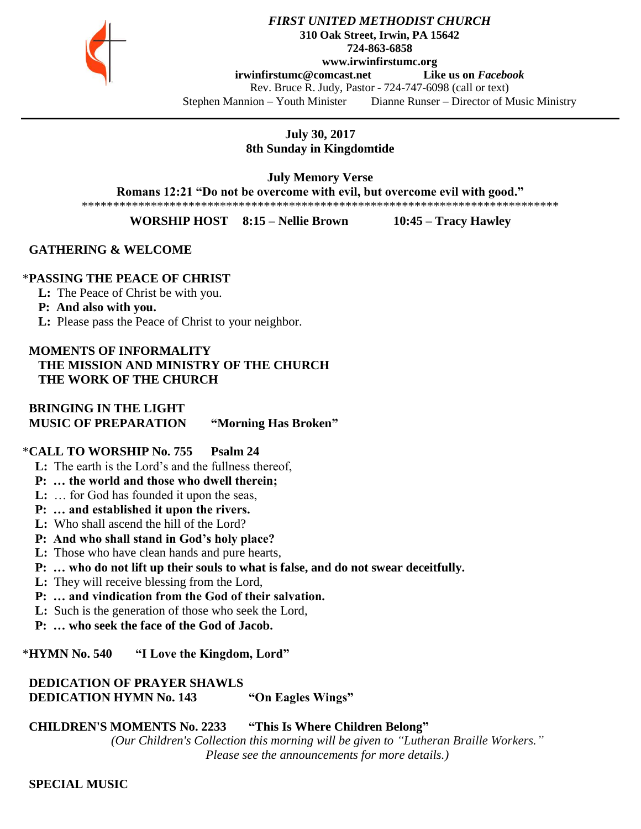

#### *FIRST UNITED METHODIST CHURCH* **310 Oak Street, Irwin, PA 15642 724-863-6858 www.irwinfirstumc.org [irwinfirstumc@comcast.net](mailto:irwinfirstumc@comcast.net) Like us on** *Facebook* Rev. Bruce R. Judy, Pastor - 724-747-6098 (call or text) Stephen Mannion – Youth Minister Dianne Runser – Director of Music Ministry

## **July 30, 2017 8th Sunday in Kingdomtide**

**July Memory Verse** 

**Romans 12:21 "Do not be overcome with evil, but overcome evil with good."**

\*\*\*\*\*\*\*\*\*\*\*\*\*\*\*\*\*\*\*\*\*\*\*\*\*\*\*\*\*\*\*\*\*\*\*\*\*\*\*\*\*\*\*\*\*\*\*\*\*\*\*\*\*\*\*\*\*\*\*\*\*\*\*\*\*\*\*\*\*\*\*\*\*\*\*\*

**WORSHIP HOST 8:15 – Nellie Brown 10:45 – Tracy Hawley**

## **GATHERING & WELCOME**

## \***PASSING THE PEACE OF CHRIST**

**L:** The Peace of Christ be with you.

## **P: And also with you.**

**L:** Please pass the Peace of Christ to your neighbor.

## **MOMENTS OF INFORMALITY THE MISSION AND MINISTRY OF THE CHURCH THE WORK OF THE CHURCH**

## **BRINGING IN THE LIGHT MUSIC OF PREPARATION "Morning Has Broken"**

## \***CALL TO WORSHIP No. 755 Psalm 24**

- **L:** The earth is the Lord's and the fullness thereof,
- **P: … the world and those who dwell therein;**
- **L:** … for God has founded it upon the seas,
- **P: … and established it upon the rivers.**
- **L:** Who shall ascend the hill of the Lord?
- **P: And who shall stand in God's holy place?**
- **L:** Those who have clean hands and pure hearts,
- **P: … who do not lift up their souls to what is false, and do not swear deceitfully.**
- **L:** They will receive blessing from the Lord,
- **P: … and vindication from the God of their salvation.**
- **L:** Such is the generation of those who seek the Lord,
- **P: … who seek the face of the God of Jacob.**

## \***HYMN No. 540 "I Love the Kingdom, Lord"**

#### **DEDICATION OF PRAYER SHAWLS DEDICATION HYMN No. 143 "On Eagles Wings"**

## **CHILDREN'S MOMENTS No. 2233 "This Is Where Children Belong"**

*(Our Children's Collection this morning will be given to "Lutheran Braille Workers." Please see the announcements for more details.)*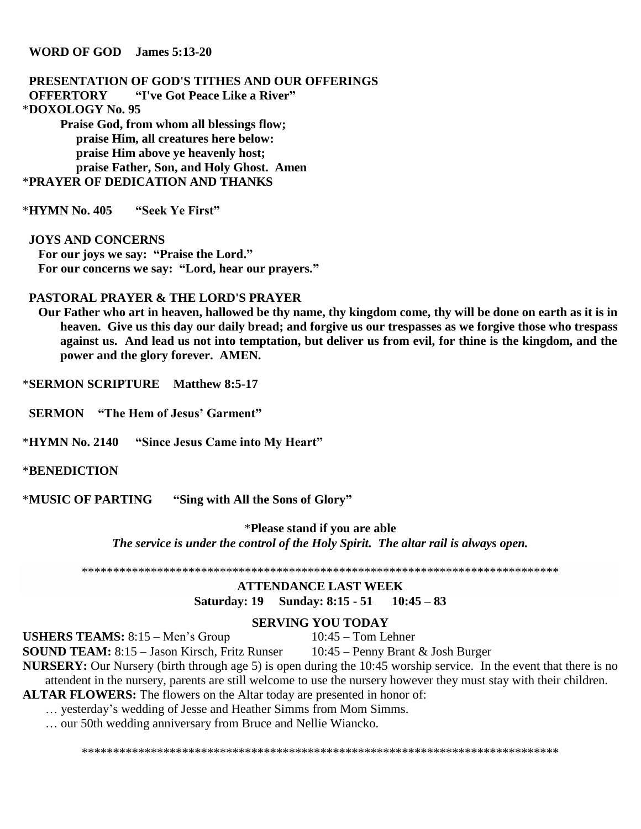#### **WORD OF GOD James 5:13-20**

#### **PRESENTATION OF GOD'S TITHES AND OUR OFFERINGS OFFERTORY "I've Got Peace Like a River"** \***DOXOLOGY No. 95 Praise God, from whom all blessings flow; praise Him, all creatures here below: praise Him above ye heavenly host; praise Father, Son, and Holy Ghost. Amen** \***PRAYER OF DEDICATION AND THANKS**

\***HYMN No. 405 "Seek Ye First"**

 **JOYS AND CONCERNS For our joys we say: "Praise the Lord." For our concerns we say: "Lord, hear our prayers."**

#### **PASTORAL PRAYER & THE LORD'S PRAYER**

 **Our Father who art in heaven, hallowed be thy name, thy kingdom come, thy will be done on earth as it is in heaven. Give us this day our daily bread; and forgive us our trespasses as we forgive those who trespass against us. And lead us not into temptation, but deliver us from evil, for thine is the kingdom, and the power and the glory forever. AMEN.**

\***SERMON SCRIPTURE Matthew 8:5-17**

 **SERMON "The Hem of Jesus' Garment"**

\***HYMN No. 2140 "Since Jesus Came into My Heart"**

#### \***BENEDICTION**

\***MUSIC OF PARTING "Sing with All the Sons of Glory"**

\***Please stand if you are able** *The service is under the control of the Holy Spirit. The altar rail is always open.*

\*\*\*\*\*\*\*\*\*\*\*\*\*\*\*\*\*\*\*\*\*\*\*\*\*\*\*\*\*\*\*\*\*\*\*\*\*\*\*\*\*\*\*\*\*\*\*\*\*\*\*\*\*\*\*\*\*\*\*\*\*\*\*\*\*\*\*\*\*\*\*\*\*\*\*\*

#### **ATTENDANCE LAST WEEK Saturday: 19 Sunday: 8:15 - 51 10:45 – 83**

#### **SERVING YOU TODAY**

**USHERS TEAMS:**  $8:15 - \text{Men's Group}$  10:45 – Tom Lehner

**SOUND TEAM:** 8:15 – Jason Kirsch, Fritz Runser 10:45 – Penny Brant & Josh Burger

**NURSERY:** Our Nursery (birth through age 5) is open during the 10:45 worship service. In the event that there is no attendent in the nursery, parents are still welcome to use the nursery however they must stay with their children.

**ALTAR FLOWERS:** The flowers on the Altar today are presented in honor of:

… yesterday's wedding of Jesse and Heather Simms from Mom Simms.

… our 50th wedding anniversary from Bruce and Nellie Wiancko.

\*\*\*\*\*\*\*\*\*\*\*\*\*\*\*\*\*\*\*\*\*\*\*\*\*\*\*\*\*\*\*\*\*\*\*\*\*\*\*\*\*\*\*\*\*\*\*\*\*\*\*\*\*\*\*\*\*\*\*\*\*\*\*\*\*\*\*\*\*\*\*\*\*\*\*\*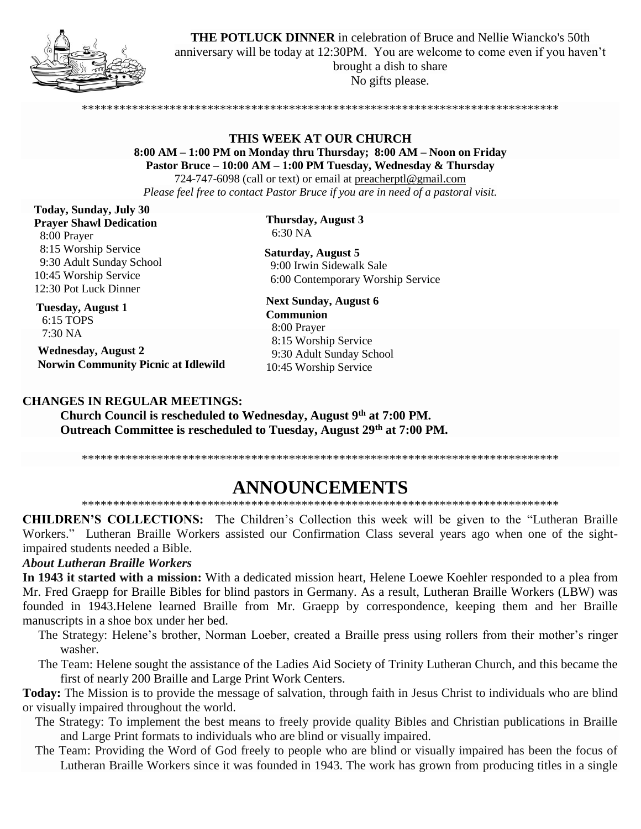

**THE POTLUCK DINNER** in celebration of Bruce and Nellie Wiancko's 50th anniversary will be today at 12:30PM. You are welcome to come even if you haven't brought a dish to share No gifts please.

## **THIS WEEK AT OUR CHURCH**

\*\*\*\*\*\*\*\*\*\*\*\*\*\*\*\*\*\*\*\*\*\*\*\*\*\*\*\*\*\*\*\*\*\*\*\*\*\*\*\*\*\*\*\*\*\*\*\*\*\*\*\*\*\*\*\*\*\*\*\*\*\*\*\*\*\*\*\*\*\*\*\*\*\*\*\*

**8:00 AM – 1:00 PM on Monday thru Thursday; 8:00 AM – Noon on Friday**

**Pastor Bruce – 10:00 AM – 1:00 PM Tuesday, Wednesday & Thursday** 724-747-6098 (call or text) or email at [preacherptl@gmail.com](mailto:preacherptl@gmail.com) *Please feel free to contact Pastor Bruce if you are in need of a pastoral visit.*

**Today, Sunday, July 30 Prayer Shawl Dedication** 8:00 Prayer 8:15 Worship Service 9:30 Adult Sunday School 10:45 Worship Service 12:30 Pot Luck Dinner

**Tuesday, August 1** 6:15 TOPS 7:30 NA **Wednesday, August 2**

**Norwin Community Picnic at Idlewild**

#### **CHANGES IN REGULAR MEETINGS:**

**Church Council is rescheduled to Wednesday, August 9th at 7:00 PM. Outreach Committee is rescheduled to Tuesday, August 29th at 7:00 PM.**

\*\*\*\*\*\*\*\*\*\*\*\*\*\*\*\*\*\*\*\*\*\*\*\*\*\*\*\*\*\*\*\*\*\*\*\*\*\*\*\*\*\*\*\*\*\*\*\*\*\*\*\*\*\*\*\*\*\*\*\*\*\*\*\*\*\*\*\*\*\*\*\*\*\*\*\*

# **ANNOUNCEMENTS**

\*\*\*\*\*\*\*\*\*\*\*\*\*\*\*\*\*\*\*\*\*\*\*\*\*\*\*\*\*\*\*\*\*\*\*\*\*\*\*\*\*\*\*\*\*\*\*\*\*\*\*\*\*\*\*\*\*\*\*\*\*\*\*\*\*\*\*\*\*\*\*\*\*\*\*\*

**CHILDREN'S COLLECTIONS:** The Children's Collection this week will be given to the "Lutheran Braille Workers." Lutheran Braille Workers assisted our Confirmation Class several years ago when one of the sightimpaired students needed a Bible.

#### *About Lutheran Braille Workers*

**In 1943 it started with a mission:** With a dedicated mission heart, Helene Loewe Koehler responded to a plea from Mr. Fred Graepp for Braille Bibles for blind pastors in Germany. As a result, Lutheran Braille Workers (LBW) was founded in 1943.Helene learned Braille from Mr. Graepp by correspondence, keeping them and her Braille manuscripts in a shoe box under her bed.

- The Strategy: Helene's brother, Norman Loeber, created a Braille press using rollers from their mother's ringer washer.
- The Team: Helene sought the assistance of the Ladies Aid Society of Trinity Lutheran Church, and this became the first of nearly 200 Braille and Large Print Work Centers.

**Today:** The Mission is to provide the message of salvation, through faith in Jesus Christ to individuals who are blind or visually impaired throughout the world.

- The Strategy: To implement the best means to freely provide quality Bibles and Christian publications in Braille and Large Print formats to individuals who are blind or visually impaired.
- The Team: Providing the Word of God freely to people who are blind or visually impaired has been the focus of Lutheran Braille Workers since it was founded in 1943. The work has grown from producing titles in a single

**Thursday, August 3** 6:30 NA

**Saturday, August 5** 9:00 Irwin Sidewalk Sale 6:00 Contemporary Worship Service

**Next Sunday, August 6 Communion** 8:00 Prayer 8:15 Worship Service 9:30 Adult Sunday School 10:45 Worship Service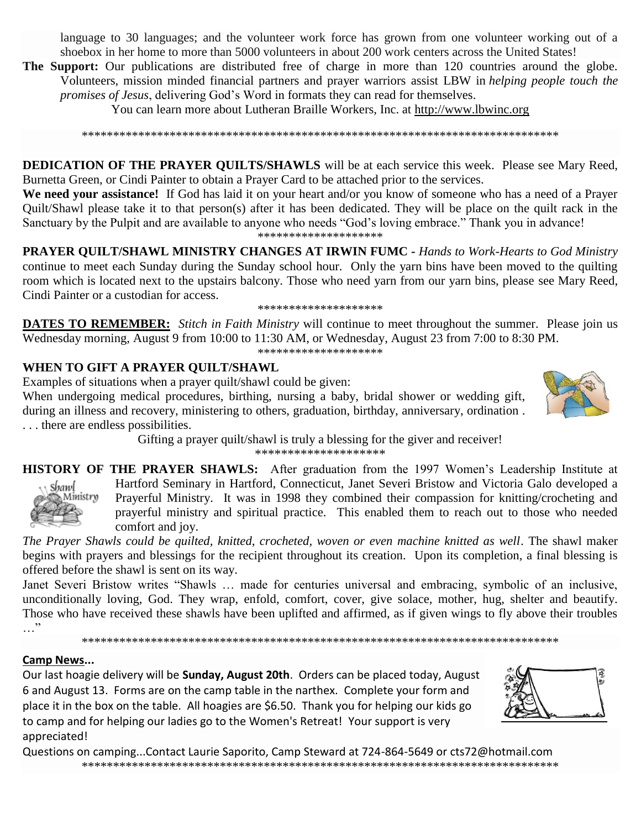language to 30 languages; and the volunteer work force has grown from one volunteer working out of a shoebox in her home to more than 5000 volunteers in about 200 work centers across the United States!

**The Support:** Our publications are distributed free of charge in more than 120 countries around the globe. Volunteers, mission minded financial partners and prayer warriors assist LBW in *helping people touch the promises of Jesus*, delivering God's Word in formats they can read for themselves.

You can learn more about Lutheran Braille Workers, Inc. at http://www.lbwinc.org

\*\*\*\*\*\*\*\*\*\*\*\*\*\*\*\*\*\*\*\*\*\*\*\*\*\*\*\*\*\*\*\*\*\*\*\*\*\*\*\*\*\*\*\*\*\*\*\*\*\*\*\*\*\*\*\*\*\*\*\*\*\*\*\*\*\*\*\*\*\*\*\*\*\*\*\*

**DEDICATION OF THE PRAYER QUILTS/SHAWLS** will be at each service this week. Please see Mary Reed, Burnetta Green, or Cindi Painter to obtain a Prayer Card to be attached prior to the services.

**We need your assistance!** If God has laid it on your heart and/or you know of someone who has a need of a Prayer Quilt/Shawl please take it to that person(s) after it has been dedicated. They will be place on the quilt rack in the Sanctuary by the Pulpit and are available to anyone who needs "God's loving embrace." Thank you in advance! \*\*\*\*\*\*\*\*\*\*\*\*\*\*\*\*\*\*\*\*

**PRAYER QUILT/SHAWL MINISTRY CHANGES AT IRWIN FUMC -** *Hands to Work-Hearts to God Ministry* continue to meet each Sunday during the Sunday school hour. Only the yarn bins have been moved to the quilting room which is located next to the upstairs balcony. Those who need yarn from our yarn bins, please see Mary Reed, Cindi Painter or a custodian for access.

#### \*\*\*\*\*\*\*\*\*\*\*\*\*\*\*\*\*\*\*\*

**DATES TO REMEMBER:** *Stitch in Faith Ministry* will continue to meet throughout the summer. Please join us Wednesday morning, August 9 from 10:00 to 11:30 AM, or Wednesday, August 23 from 7:00 to 8:30 PM.

\*\*\*\*\*\*\*\*\*\*\*\*\*\*\*\*\*\*\*\*

#### **WHEN TO GIFT A PRAYER QUILT/SHAWL**

Examples of situations when a prayer quilt/shawl could be given:

When undergoing medical procedures, birthing, nursing a baby, bridal shower or wedding gift, during an illness and recovery, ministering to others, graduation, birthday, anniversary, ordination . . . . there are endless possibilities.

> Gifting a prayer quilt/shawl is truly a blessing for the giver and receiver! \*\*\*\*\*\*\*\*\*\*\*\*\*\*\*\*\*\*\*\*

**HISTORY OF THE PRAYER SHAWLS:** After graduation from the 1997 Women's Leadership Institute at



Hartford Seminary in Hartford, Connecticut, Janet Severi Bristow and Victoria Galo developed a Prayerful Ministry. It was in 1998 they combined their compassion for knitting/crocheting and prayerful ministry and spiritual practice. This enabled them to reach out to those who needed comfort and joy.

*The Prayer Shawls could be quilted, knitted, crocheted, woven or even machine knitted as well*. The shawl maker begins with prayers and blessings for the recipient throughout its creation. Upon its completion, a final blessing is offered before the shawl is sent on its way.

Janet Severi Bristow writes "Shawls … made for centuries universal and embracing, symbolic of an inclusive, unconditionally loving, God. They wrap, enfold, comfort, cover, give solace, mother, hug, shelter and beautify. Those who have received these shawls have been uplifted and affirmed, as if given wings to fly above their troubles …"

\*\*\*\*\*\*\*\*\*\*\*\*\*\*\*\*\*\*\*\*\*\*\*\*\*\*\*\*\*\*\*\*\*\*\*\*\*\*\*\*\*\*\*\*\*\*\*\*\*\*\*\*\*\*\*\*\*\*\*\*\*\*\*\*\*\*\*\*\*\*\*\*\*\*\*\*

#### **Camp News...**

Our last hoagie delivery will be **Sunday, August 20th**. Orders can be placed today, August 6 and August 13. Forms are on the camp table in the narthex. Complete your form and place it in the box on the table. All hoagies are \$6.50. Thank you for helping our kids go to camp and for helping our ladies go to the Women's Retreat! Your support is very appreciated!



Questions on camping...Contact Laurie Saporito, Camp Steward at 724-864-5649 or [cts72@hotmail.com](javascript:window.top.ZmObjectManager.__doClickObject(document.getElementById(%22OBJ_PREFIX_DWT5492_com_zimbra_email%22));) \*\*\*\*\*\*\*\*\*\*\*\*\*\*\*\*\*\*\*\*\*\*\*\*\*\*\*\*\*\*\*\*\*\*\*\*\*\*\*\*\*\*\*\*\*\*\*\*\*\*\*\*\*\*\*\*\*\*\*\*\*\*\*\*\*\*\*\*\*\*\*\*\*\*\*\*